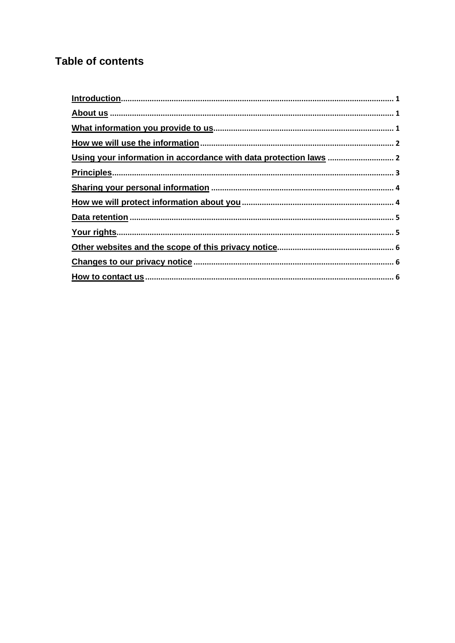# **Table of contents**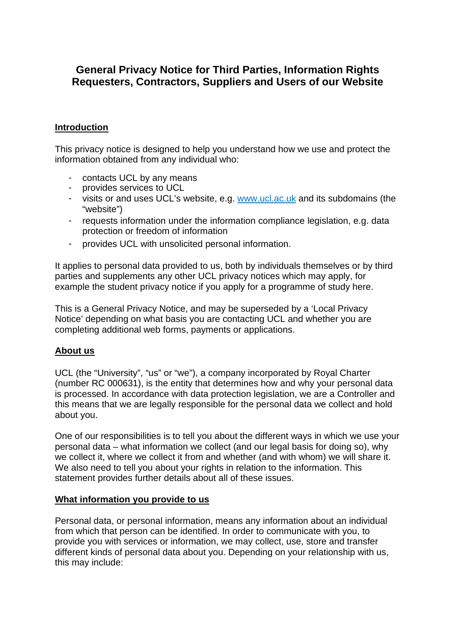## **General Privacy Notice for Third Parties, Information Rights Requesters, Contractors, Suppliers and Users of our Website**

## **Introduction**

This privacy notice is designed to help you understand how we use and protect the information obtained from any individual who:

- contacts UCL by any means
- provides services to UCL
- visits or and uses UCL's website, e.g. www.ucl.ac.uk and its subdomains (the "website")
- requests information under the information compliance legislation, e.g. data protection or freedom of information
- provides UCL with unsolicited personal information.

It applies to personal data provided to us, both by individuals themselves or by third parties and supplements any other UCL privacy notices which may apply, for example the student privacy notice if you apply for a programme of study here.

This is a General Privacy Notice, and may be superseded by a 'Local Privacy Notice' depending on what basis you are contacting UCL and whether you are completing additional web forms, payments or applications.

## **About us**

UCL (the "University", "us" or "we"), a company incorporated by Royal Charter (number RC 000631), is the entity that determines how and why your personal data is processed. In accordance with data protection legislation, we are a Controller and this means that we are legally responsible for the personal data we collect and hold about you.

One of our responsibilities is to tell you about the different ways in which we use your personal data – what information we collect (and our legal basis for doing so), why we collect it, where we collect it from and whether (and with whom) we will share it. We also need to tell you about your rights in relation to the information. This statement provides further details about all of these issues.

## **What information you provide to us**

Personal data, or personal information, means any information about an individual from which that person can be identified. In order to communicate with you, to provide you with services or information, we may collect, use, store and transfer different kinds of personal data about you. Depending on your relationship with us, this may include: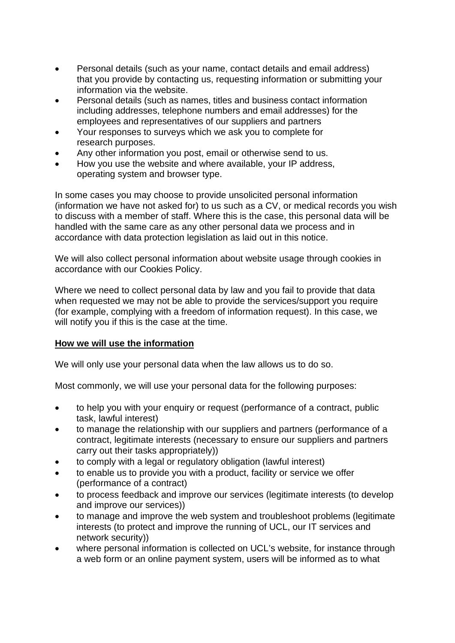- Personal details (such as your name, contact details and email address) that you provide by contacting us, requesting information or submitting your information via the website.
- Personal details (such as names, titles and business contact information including addresses, telephone numbers and email addresses) for the employees and representatives of our suppliers and partners
- Your responses to surveys which we ask you to complete for research purposes.
- Any other information you post, email or otherwise send to us.
- How you use the website and where available, your IP address, operating system and browser type.

In some cases you may choose to provide unsolicited personal information (information we have not asked for) to us such as a CV, or medical records you wish to discuss with a member of staff. Where this is the case, this personal data will be handled with the same care as any other personal data we process and in accordance with data protection legislation as laid out in this notice.

We will also collect personal information about website usage through cookies in accordance with our Cookies Policy.

Where we need to collect personal data by law and you fail to provide that data when requested we may not be able to provide the services/support you require (for example, complying with a freedom of information request). In this case, we will notify you if this is the case at the time.

## **How we will use the information**

We will only use your personal data when the law allows us to do so.

Most commonly, we will use your personal data for the following purposes:

- to help you with your enquiry or request (performance of a contract, public task, lawful interest)
- to manage the relationship with our suppliers and partners (performance of a contract, legitimate interests (necessary to ensure our suppliers and partners carry out their tasks appropriately))
- to comply with a legal or regulatory obligation (lawful interest)
- to enable us to provide you with a product, facility or service we offer (performance of a contract)
- to process feedback and improve our services (legitimate interests (to develop and improve our services))
- to manage and improve the web system and troubleshoot problems (legitimate interests (to protect and improve the running of UCL, our IT services and network security))
- where personal information is collected on UCL's website, for instance through a web form or an online payment system, users will be informed as to what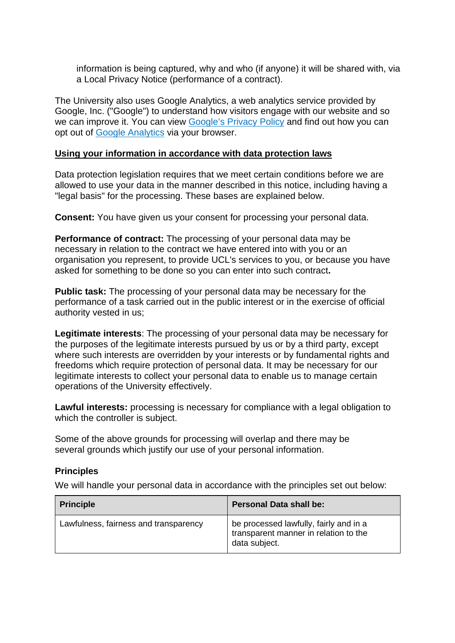information is being captured, why and who (if anyone) it will be shared with, via a Local Privacy Notice (performance of a contract).

The University also uses Google Analytics, a web analytics service provided by Google, Inc. ("Google") to understand how visitors engage with our website and so we can improve it. You can view [Google's Privacy Policy](https://policies.google.com/privacy/update?hl=en&gl=uk) and find out how you can opt out of [Google Analytics v](https://support.google.com/analytics/answer/181881?hl=en)ia your browser.

## **Using your information in accordance with data protection laws**

Data protection legislation requires that we meet certain conditions before we are allowed to use your data in the manner described in this notice, including having a "legal basis" for the processing. These bases are explained below.

**Consent:** You have given us your consent for processing your personal data.

**Performance of contract:** The processing of your personal data may be necessary in relation to the contract we have entered into with you or an organisation you represent, to provide UCL's services to you, or because you have asked for something to be done so you can enter into such contract**.** 

**Public task:** The processing of your personal data may be necessary for the performance of a task carried out in the public interest or in the exercise of official authority vested in us;

**Legitimate interests**: The processing of your personal data may be necessary for the purposes of the legitimate interests pursued by us or by a third party, except where such interests are overridden by your interests or by fundamental rights and freedoms which require protection of personal data. It may be necessary for our legitimate interests to collect your personal data to enable us to manage certain operations of the University effectively.

**Lawful interests:** processing is necessary for compliance with a legal obligation to which the controller is subject.

Some of the above grounds for processing will overlap and there may be several grounds which justify our use of your personal information.

## **Principles**

We will handle your personal data in accordance with the principles set out below:

| <b>Principle</b>                      | Personal Data shall be:                                                                          |
|---------------------------------------|--------------------------------------------------------------------------------------------------|
| Lawfulness, fairness and transparency | be processed lawfully, fairly and in a<br>transparent manner in relation to the<br>data subject. |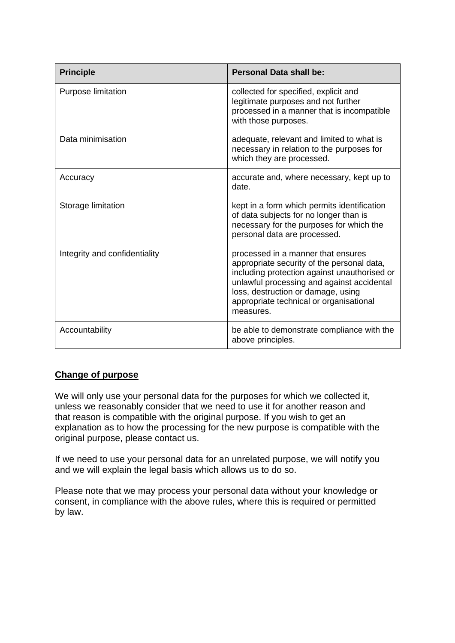| <b>Principle</b>              | Personal Data shall be:                                                                                                                                                                                                                                                      |
|-------------------------------|------------------------------------------------------------------------------------------------------------------------------------------------------------------------------------------------------------------------------------------------------------------------------|
| <b>Purpose limitation</b>     | collected for specified, explicit and<br>legitimate purposes and not further<br>processed in a manner that is incompatible<br>with those purposes.                                                                                                                           |
| Data minimisation             | adequate, relevant and limited to what is<br>necessary in relation to the purposes for<br>which they are processed.                                                                                                                                                          |
| Accuracy                      | accurate and, where necessary, kept up to<br>date.                                                                                                                                                                                                                           |
| Storage limitation            | kept in a form which permits identification<br>of data subjects for no longer than is<br>necessary for the purposes for which the<br>personal data are processed.                                                                                                            |
| Integrity and confidentiality | processed in a manner that ensures<br>appropriate security of the personal data,<br>including protection against unauthorised or<br>unlawful processing and against accidental<br>loss, destruction or damage, using<br>appropriate technical or organisational<br>measures. |
| Accountability                | be able to demonstrate compliance with the<br>above principles.                                                                                                                                                                                                              |

## **Change of purpose**

We will only use your personal data for the purposes for which we collected it, unless we reasonably consider that we need to use it for another reason and that reason is compatible with the original purpose. If you wish to get an explanation as to how the processing for the new purpose is compatible with the original purpose, please contact us.

If we need to use your personal data for an unrelated purpose, we will notify you and we will explain the legal basis which allows us to do so.

Please note that we may process your personal data without your knowledge or consent, in compliance with the above rules, where this is required or permitted by law.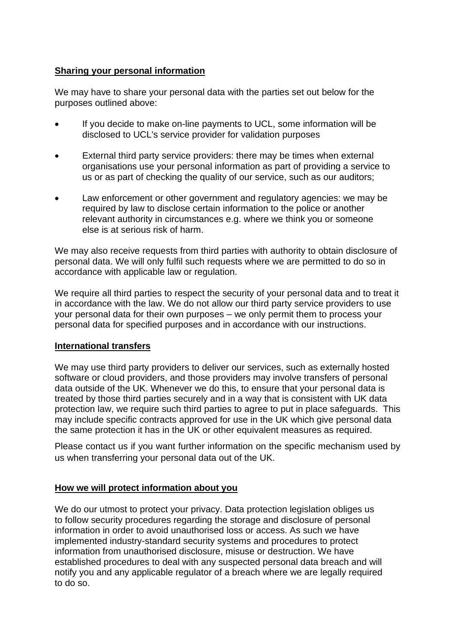## **Sharing your personal information**

We may have to share your personal data with the parties set out below for the purposes outlined above:

- If you decide to make on-line payments to UCL, some information will be disclosed to UCL's service provider for validation purposes
- External third party service providers: there may be times when external organisations use your personal information as part of providing a service to us or as part of checking the quality of our service, such as our auditors;
- Law enforcement or other government and regulatory agencies: we may be required by law to disclose certain information to the police or another relevant authority in circumstances e.g. where we think you or someone else is at serious risk of harm.

We may also receive requests from third parties with authority to obtain disclosure of personal data. We will only fulfil such requests where we are permitted to do so in accordance with applicable law or regulation.

We require all third parties to respect the security of your personal data and to treat it in accordance with the law. We do not allow our third party service providers to use your personal data for their own purposes – we only permit them to process your personal data for specified purposes and in accordance with our instructions.

## **International transfers**

We may use third party providers to deliver our services, such as externally hosted software or cloud providers, and those providers may involve transfers of personal data outside of the UK. Whenever we do this, to ensure that your personal data is treated by those third parties securely and in a way that is consistent with UK data protection law, we require such third parties to agree to put in place safeguards. This may include specific contracts approved for use in the UK which give personal data the same protection it has in the UK or other equivalent measures as required.

Please contact us if you want further information on the specific mechanism used by us when transferring your personal data out of the UK.

## **How we will protect information about you**

We do our utmost to protect your privacy. Data protection legislation obliges us to follow security procedures regarding the storage and disclosure of personal information in order to avoid unauthorised loss or access. As such we have implemented industry-standard security systems and procedures to protect information from unauthorised disclosure, misuse or destruction. We have established procedures to deal with any suspected personal data breach and will notify you and any applicable regulator of a breach where we are legally required to do so.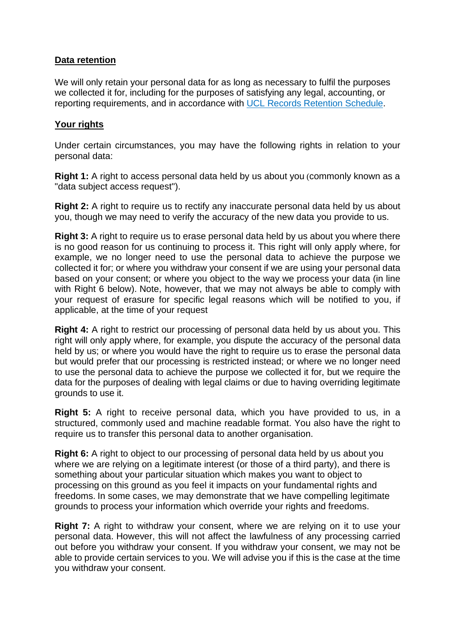## **Data retention**

We will only retain your personal data for as long as necessary to fulfil the purposes we collected it for, including for the purposes of satisfying any legal, accounting, or reporting requirements, and in accordance with [UCL Records Retention Schedule.](https://www.ucl.ac.uk/library/docs/retention-schedule.pdf)

## **Your rights**

Under certain circumstances, you may have the following rights in relation to your personal data:

**Right 1:** A right to access personal data held by us about you (commonly known as a "data subject access request").

**Right 2:** A right to require us to rectify any inaccurate personal data held by us about you, though we may need to verify the accuracy of the new data you provide to us.

**Right 3:** A right to require us to erase personal data held by us about you where there is no good reason for us continuing to process it. This right will only apply where, for example, we no longer need to use the personal data to achieve the purpose we collected it for; or where you withdraw your consent if we are using your personal data based on your consent; or where you object to the way we process your data (in line with Right 6 below). Note, however, that we may not always be able to comply with your request of erasure for specific legal reasons which will be notified to you, if applicable, at the time of your request

**Right 4:** A right to restrict our processing of personal data held by us about you. This right will only apply where, for example, you dispute the accuracy of the personal data held by us; or where you would have the right to require us to erase the personal data but would prefer that our processing is restricted instead; or where we no longer need to use the personal data to achieve the purpose we collected it for, but we require the data for the purposes of dealing with legal claims or due to having overriding legitimate grounds to use it.

**Right 5:** A right to receive personal data, which you have provided to us, in a structured, commonly used and machine readable format. You also have the right to require us to transfer this personal data to another organisation.

**Right 6:** A right to object to our processing of personal data held by us about you where we are relying on a legitimate interest (or those of a third party), and there is something about your particular situation which makes you want to object to processing on this ground as you feel it impacts on your fundamental rights and freedoms. In some cases, we may demonstrate that we have compelling legitimate grounds to process your information which override your rights and freedoms.

**Right 7:** A right to withdraw your consent, where we are relying on it to use your personal data. However, this will not affect the lawfulness of any processing carried out before you withdraw your consent. If you withdraw your consent, we may not be able to provide certain services to you. We will advise you if this is the case at the time you withdraw your consent.